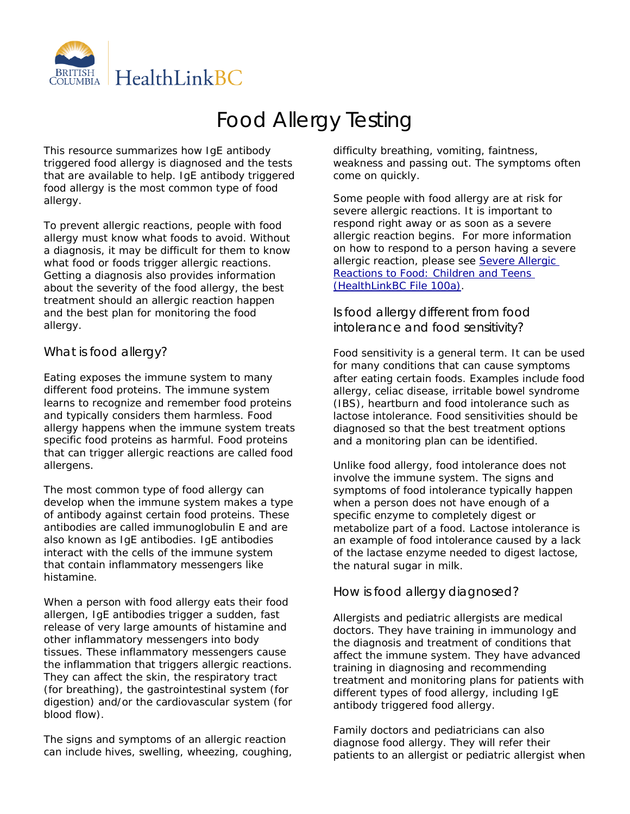

# Food Allergy Testing

This resource summarizes how IgE antibody triggered food allergy is diagnosed and the tests that are available to help. IgE antibody triggered food allergy is the most common type of food allergy.

To prevent allergic reactions, people with food allergy must know what foods to avoid. Without a diagnosis, it may be difficult for them to know what food or foods trigger allergic reactions. Getting a diagnosis also provides information about the severity of the food allergy, the best treatment should an allergic reaction happen and the best plan for monitoring the food allergy.

## What is food allergy?

Eating exposes the immune system to many different food proteins. The immune system learns to recognize and remember food proteins and typically considers them harmless. Food allergy happens when the immune system treats specific food proteins as harmful. Food proteins that can trigger allergic reactions are called food allergens.

The most common type of food allergy can develop when the immune system makes a type of antibody against certain food proteins. These antibodies are called immunoglobulin E and are also known as IgE antibodies. IgE antibodies interact with the cells of the immune system that contain inflammatory messengers like histamine.

When a person with food allergy eats their food allergen, IgE antibodies trigger a sudden, fast release of very large amounts of histamine and other inflammatory messengers into body tissues. These inflammatory messengers cause the inflammation that triggers allergic reactions. They can affect the skin, the respiratory tract (for breathing), the gastrointestinal system (for digestion) and/or the cardiovascular system (for blood flow).

The signs and symptoms of an allergic reaction can include hives, swelling, wheezing, coughing, difficulty breathing, vomiting, faintness, weakness and passing out. The symptoms often come on quickly.

Some people with food allergy are at risk for severe allergic reactions. It is important to respond right away or as soon as a severe allergic reaction begins. For more information on how to respond to a person having a severe allergic reaction, please see Severe Allergic [Reactions to Food: Children and Teens](https://www.healthlinkbc.ca/healthlinkbc-files/food-allergy-child-teenager)  [\(HealthLinkBC File 100a\).](https://www.healthlinkbc.ca/healthlinkbc-files/food-allergy-child-teenager)

## Is food allergy different from food intolerance and food sensitivity?

Food sensitivity is a general term. It can be used for many conditions that can cause symptoms after eating certain foods. Examples include food allergy, celiac disease, irritable bowel syndrome (IBS), heartburn and food intolerance such as lactose intolerance. Food sensitivities should be diagnosed so that the best treatment options and a monitoring plan can be identified.

Unlike food allergy, food intolerance does not involve the immune system. The signs and symptoms of food intolerance typically happen when a person does not have enough of a specific enzyme to completely digest or metabolize part of a food. Lactose intolerance is an example of food intolerance caused by a lack of the lactase enzyme needed to digest lactose, the natural sugar in milk.

# How is food allergy diagnosed?

Allergists and pediatric allergists are medical doctors. They have training in immunology and the diagnosis and treatment of conditions that affect the immune system. They have advanced training in diagnosing and recommending treatment and monitoring plans for patients with different types of food allergy, including IgE antibody triggered food allergy.

Family doctors and pediatricians can also diagnose food allergy. They will refer their patients to an allergist or pediatric allergist when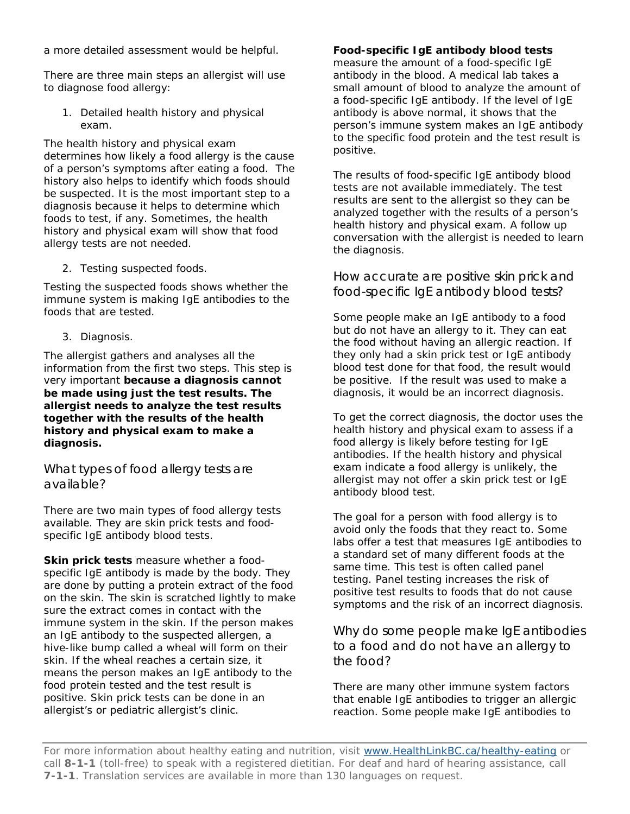a more detailed assessment would be helpful.

There are three main steps an allergist will use to diagnose food allergy:

1. Detailed health history and physical exam.

The health history and physical exam determines how likely a food allergy is the cause of a person's symptoms after eating a food. The history also helps to identify which foods should be suspected. It is the most important step to a diagnosis because it helps to determine which foods to test, if any. Sometimes, the health history and physical exam will show that food allergy tests are not needed.

2. Testing suspected foods.

Testing the suspected foods shows whether the immune system is making IgE antibodies to the foods that are tested.

3. Diagnosis.

The allergist gathers and analyses all the information from the first two steps. This step is very important **because a diagnosis cannot be made using just the test results. The allergist needs to analyze the test results together with the results of the health history and physical exam to make a diagnosis.** 

What types of food allergy tests are available?

There are two main types of food allergy tests available. They are skin prick tests and foodspecific IgE antibody blood tests.

**Skin prick tests** measure whether a foodspecific IgE antibody is made by the body. They are done by putting a protein extract of the food on the skin. The skin is scratched lightly to make sure the extract comes in contact with the immune system in the skin. If the person makes an IgE antibody to the suspected allergen, a hive-like bump called a wheal will form on their skin. If the wheal reaches a certain size, it means the person makes an IgE antibody to the food protein tested and the test result is positive. Skin prick tests can be done in an allergist's or pediatric allergist's clinic.

#### **Food-specific IgE antibody blood tests**

measure the amount of a food-specific IgE antibody in the blood. A medical lab takes a small amount of blood to analyze the amount of a food-specific IgE antibody. If the level of IgE antibody is above normal, it shows that the person's immune system makes an IgE antibody to the specific food protein and the test result is positive.

The results of food-specific IgE antibody blood tests are not available immediately. The test results are sent to the allergist so they can be analyzed together with the results of a person's health history and physical exam. A follow up conversation with the allergist is needed to learn the diagnosis.

How accurate are positive skin prick and food-specific IgE antibody blood tests?

Some people make an IgE antibody to a food but do not have an allergy to it. They can eat the food without having an allergic reaction. If they only had a skin prick test or IgE antibody blood test done for that food, the result would be positive. If the result was used to make a diagnosis, it would be an incorrect diagnosis.

To get the correct diagnosis, the doctor uses the health history and physical exam to assess if a food allergy is likely before testing for IgE antibodies. If the health history and physical exam indicate a food allergy is unlikely, the allergist may not offer a skin prick test or IgE antibody blood test.

The goal for a person with food allergy is to avoid only the foods that they react to. Some labs offer a test that measures IgE antibodies to a standard set of many different foods at the same time. This test is often called panel testing. Panel testing increases the risk of positive test results to foods that do not cause symptoms and the risk of an incorrect diagnosis.

Why do some people make IgE antibodies to a food and do not have an allergy to the food?

There are many other immune system factors that enable IgE antibodies to trigger an allergic reaction. Some people make IgE antibodies to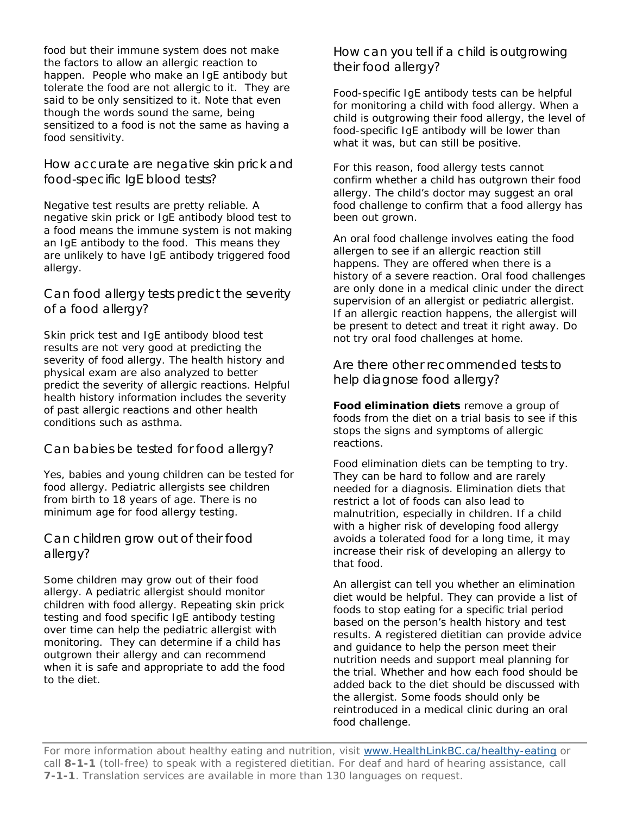food but their immune system does not make the factors to allow an allergic reaction to happen. People who make an IgE antibody but tolerate the food are not allergic to it. They are said to be only sensitized to it. Note that even though the words sound the same, being sensitized to a food is not the same as having a food sensitivity.

How accurate are negative skin prick and food-specific IgE blood tests?

Negative test results are pretty reliable. A negative skin prick or IgE antibody blood test to a food means the immune system is not making an IgE antibody to the food. This means they are unlikely to have IgE antibody triggered food allergy.

Can food allergy tests predict the severity of a food allergy?

Skin prick test and IgE antibody blood test results are not very good at predicting the severity of food allergy. The health history and physical exam are also analyzed to better predict the severity of allergic reactions. Helpful health history information includes the severity of past allergic reactions and other health conditions such as asthma.

Can babies be tested for food allergy?

Yes, babies and young children can be tested for food allergy. Pediatric allergists see children from birth to 18 years of age. There is no minimum age for food allergy testing.

Can children grow out of their food allergy?

Some children may grow out of their food allergy. A pediatric allergist should monitor children with food allergy. Repeating skin prick testing and food specific IgE antibody testing over time can help the pediatric allergist with monitoring. They can determine if a child has outgrown their allergy and can recommend when it is safe and appropriate to add the food to the diet.

How can you tell if a child is outgrowing their food allergy?

Food-specific IgE antibody tests can be helpful for monitoring a child with food allergy. When a child is outgrowing their food allergy, the level of food-specific IgE antibody will be lower than what it was, but can still be positive.

For this reason, food allergy tests cannot confirm whether a child has outgrown their food allergy. The child's doctor may suggest an oral food challenge to confirm that a food allergy has been out grown.

An oral food challenge involves eating the food allergen to see if an allergic reaction still happens. They are offered when there is a history of a severe reaction. Oral food challenges are only done in a medical clinic under the direct supervision of an allergist or pediatric allergist. If an allergic reaction happens, the allergist will be present to detect and treat it right away. Do not try oral food challenges at home.

Are there other recommended tests to help diagnose food allergy?

**Food elimination diets** remove a group of foods from the diet on a trial basis to see if this stops the signs and symptoms of allergic reactions.

Food elimination diets can be tempting to try. They can be hard to follow and are rarely needed for a diagnosis. Elimination diets that restrict a lot of foods can also lead to malnutrition, especially in children. If a child with a higher risk of developing food allergy avoids a tolerated food for a long time, it may increase their risk of developing an allergy to that food.

An allergist can tell you whether an elimination diet would be helpful. They can provide a list of foods to stop eating for a specific trial period based on the person's health history and test results. A registered dietitian can provide advice and guidance to help the person meet their nutrition needs and support meal planning for the trial. Whether and how each food should be added back to the diet should be discussed with the allergist. Some foods should only be reintroduced in a medical clinic during an oral food challenge.

For more information about healthy eating and nutrition, visit [www.HealthLinkBC.ca/he](https://www.healthlinkbc.ca/healthy-eating)althy-eating or call **8-1-1** (toll-free) to speak with a registered dietitian. For deaf and hard of hearing assistance, call **7-1-1**. Translation services are available in more than 130 languages on request.